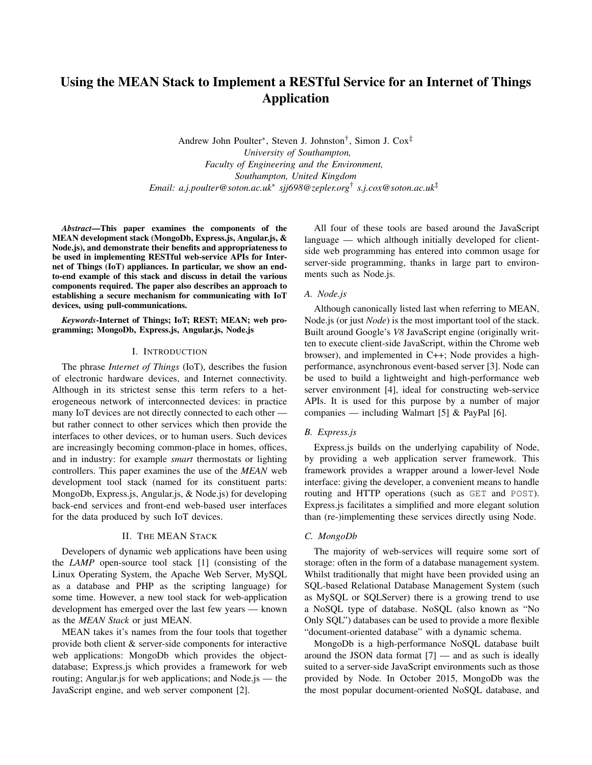# Using the MEAN Stack to Implement a RESTful Service for an Internet of Things Application

Andrew John Poulter<sup>∗</sup> , Steven J. Johnston† , Simon J. Cox‡ *University of Southampton, Faculty of Engineering and the Environment, Southampton, United Kingdom Email: a.j.poulter@soton.ac.uk*<sup>∗</sup> *sjj698@zepler.org*† *s.j.cox@soton.ac.uk*‡

*Abstract*—This paper examines the components of the MEAN development stack (MongoDb, Express.js, Angular.js, & Node.js), and demonstrate their benefits and appropriateness to be used in implementing RESTful web-service APIs for Internet of Things (IoT) appliances. In particular, we show an endto-end example of this stack and discuss in detail the various components required. The paper also describes an approach to establishing a secure mechanism for communicating with IoT devices, using pull-communications.

*Keywords*-Internet of Things; IoT; REST; MEAN; web programming; MongoDb, Express.js, Angular.js, Node.js

#### I. INTRODUCTION

The phrase *Internet of Things* (IoT), describes the fusion of electronic hardware devices, and Internet connectivity. Although in its strictest sense this term refers to a heterogeneous network of interconnected devices: in practice many IoT devices are not directly connected to each other but rather connect to other services which then provide the interfaces to other devices, or to human users. Such devices are increasingly becoming common-place in homes, offices, and in industry: for example *smart* thermostats or lighting controllers. This paper examines the use of the *MEAN* web development tool stack (named for its constituent parts: MongoDb, Express.js, Angular.js, & Node.js) for developing back-end services and front-end web-based user interfaces for the data produced by such IoT devices.

#### II. THE MEAN STACK

Developers of dynamic web applications have been using the *LAMP* open-source tool stack [1] (consisting of the Linux Operating System, the Apache Web Server, MySQL as a database and PHP as the scripting language) for some time. However, a new tool stack for web-application development has emerged over the last few years — known as the *MEAN Stack* or just MEAN.

MEAN takes it's names from the four tools that together provide both client & server-side components for interactive web applications: MongoDb which provides the objectdatabase; Express.js which provides a framework for web routing; Angular.js for web applications; and Node.js — the JavaScript engine, and web server component [2].

All four of these tools are based around the JavaScript language — which although initially developed for clientside web programming has entered into common usage for server-side programming, thanks in large part to environments such as Node.js.

## *A. Node.js*

Although canonically listed last when referring to MEAN, Node.js (or just *Node*) is the most important tool of the stack. Built around Google's *V8* JavaScript engine (originally written to execute client-side JavaScript, within the Chrome web browser), and implemented in C++; Node provides a highperformance, asynchronous event-based server [3]. Node can be used to build a lightweight and high-performance web server environment [4], ideal for constructing web-service APIs. It is used for this purpose by a number of major companies — including Walmart [5] & PayPal [6].

#### *B. Express.js*

Express.js builds on the underlying capability of Node, by providing a web application server framework. This framework provides a wrapper around a lower-level Node interface: giving the developer, a convenient means to handle routing and HTTP operations (such as GET and POST). Express.js facilitates a simplified and more elegant solution than (re-)implementing these services directly using Node.

#### *C. MongoDb*

The majority of web-services will require some sort of storage: often in the form of a database management system. Whilst traditionally that might have been provided using an SQL-based Relational Database Management System (such as MySQL or SQLServer) there is a growing trend to use a NoSQL type of database. NoSQL (also known as "No Only SQL") databases can be used to provide a more flexible "document-oriented database" with a dynamic schema.

MongoDb is a high-performance NoSQL database built around the JSON data format [7] — and as such is ideally suited to a server-side JavaScript environments such as those provided by Node. In October 2015, MongoDb was the the most popular document-oriented NoSQL database, and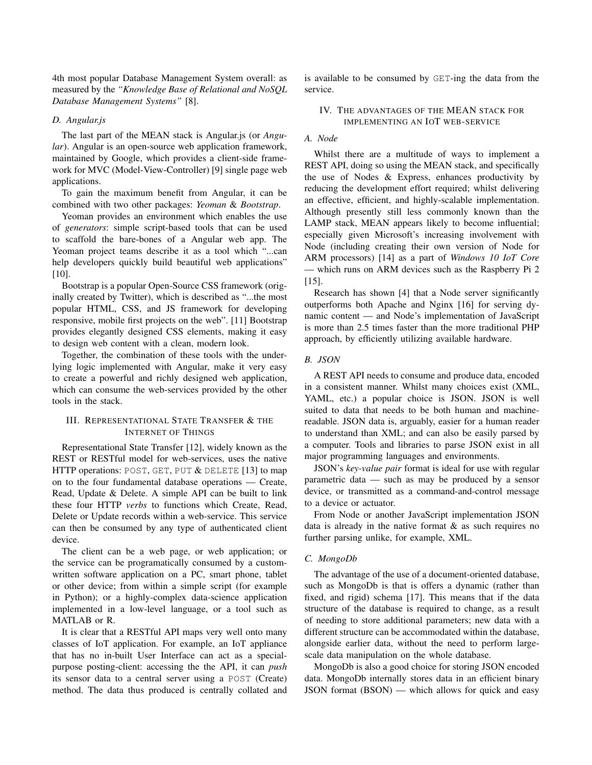4th most popular Database Management System overall: as measured by the *"Knowledge Base of Relational and NoSQL Database Management Systems"* [8].

#### *D. Angular.js*

The last part of the MEAN stack is Angular.js (or *Angular*). Angular is an open-source web application framework, maintained by Google, which provides a client-side framework for MVC (Model-View-Controller) [9] single page web applications.

To gain the maximum benefit from Angular, it can be combined with two other packages: *Yeoman* & *Bootstrap*.

Yeoman provides an environment which enables the use of *generators*: simple script-based tools that can be used to scaffold the bare-bones of a Angular web app. The Yeoman project teams describe it as a tool which "...can help developers quickly build beautiful web applications" [10].

Bootstrap is a popular Open-Source CSS framework (originally created by Twitter), which is described as "...the most popular HTML, CSS, and JS framework for developing responsive, mobile first projects on the web". [11] Bootstrap provides elegantly designed CSS elements, making it easy to design web content with a clean, modern look.

Together, the combination of these tools with the underlying logic implemented with Angular, make it very easy to create a powerful and richly designed web application, which can consume the web-services provided by the other tools in the stack.

# III. REPRESENTATIONAL STATE TRANSFER & THE INTERNET OF THINGS

Representational State Transfer [12], widely known as the REST or RESTful model for web-services, uses the native HTTP operations: POST, GET, PUT & DELETE [13] to map on to the four fundamental database operations — Create, Read, Update & Delete. A simple API can be built to link these four HTTP *verbs* to functions which Create, Read, Delete or Update records within a web-service. This service can then be consumed by any type of authenticated client device.

The client can be a web page, or web application; or the service can be programatically consumed by a customwritten software application on a PC, smart phone, tablet or other device; from within a simple script (for example in Python); or a highly-complex data-science application implemented in a low-level language, or a tool such as MATLAB or R.

It is clear that a RESTful API maps very well onto many classes of IoT application. For example, an IoT appliance that has no in-built User Interface can act as a specialpurpose posting-client: accessing the the API, it can *push* its sensor data to a central server using a POST (Create) method. The data thus produced is centrally collated and is available to be consumed by GET-ing the data from the service.

# IV. THE ADVANTAGES OF THE MEAN STACK FOR IMPLEMENTING AN IOT WEB-SERVICE

# *A. Node*

Whilst there are a multitude of ways to implement a REST API, doing so using the MEAN stack, and specifically the use of Nodes & Express, enhances productivity by reducing the development effort required; whilst delivering an effective, efficient, and highly-scalable implementation. Although presently still less commonly known than the LAMP stack, MEAN appears likely to become influential; especially given Microsoft's increasing involvement with Node (including creating their own version of Node for ARM processors) [14] as a part of *Windows 10 IoT Core* — which runs on ARM devices such as the Raspberry Pi 2 [15].

Research has shown [4] that a Node server significantly outperforms both Apache and Nginx [16] for serving dynamic content — and Node's implementation of JavaScript is more than 2.5 times faster than the more traditional PHP approach, by efficiently utilizing available hardware.

#### *B. JSON*

A REST API needs to consume and produce data, encoded in a consistent manner. Whilst many choices exist (XML, YAML, etc.) a popular choice is JSON. JSON is well suited to data that needs to be both human and machinereadable. JSON data is, arguably, easier for a human reader to understand than XML; and can also be easily parsed by a computer. Tools and libraries to parse JSON exist in all major programming languages and environments.

JSON's *key-value pair* format is ideal for use with regular parametric data — such as may be produced by a sensor device, or transmitted as a command-and-control message to a device or actuator.

From Node or another JavaScript implementation JSON data is already in the native format  $\&$  as such requires no further parsing unlike, for example, XML.

#### *C. MongoDb*

The advantage of the use of a document-oriented database, such as MongoDb is that is offers a dynamic (rather than fixed, and rigid) schema [17]. This means that if the data structure of the database is required to change, as a result of needing to store additional parameters; new data with a different structure can be accommodated within the database, alongside earlier data, without the need to perform largescale data manipulation on the whole database.

MongoDb is also a good choice for storing JSON encoded data. MongoDb internally stores data in an efficient binary JSON format (BSON) — which allows for quick and easy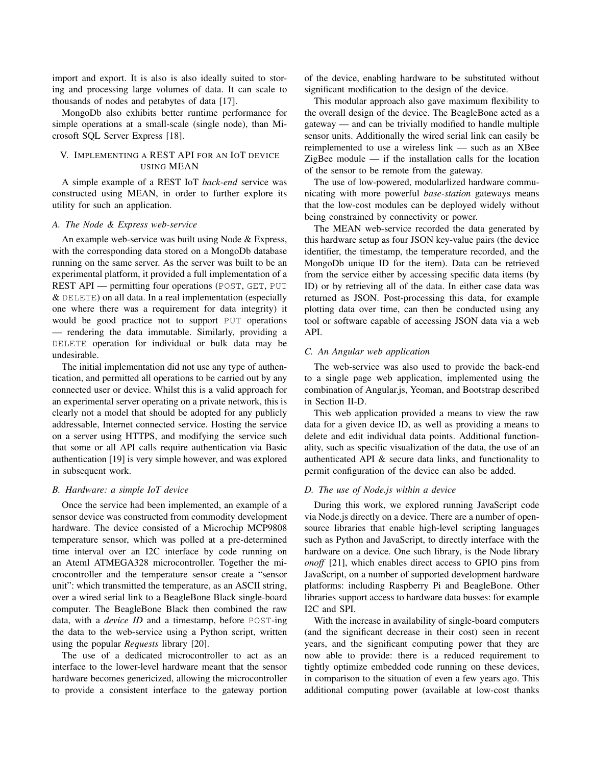import and export. It is also is also ideally suited to storing and processing large volumes of data. It can scale to thousands of nodes and petabytes of data [17].

MongoDb also exhibits better runtime performance for simple operations at a small-scale (single node), than Microsoft SQL Server Express [18].

# V. IMPLEMENTING A REST API FOR AN IOT DEVICE USING MEAN

A simple example of a REST IoT *back-end* service was constructed using MEAN, in order to further explore its utility for such an application.

#### *A. The Node & Express web-service*

An example web-service was built using Node & Express, with the corresponding data stored on a MongoDb database running on the same server. As the server was built to be an experimental platform, it provided a full implementation of a REST API — permitting four operations (POST, GET, PUT & DELETE) on all data. In a real implementation (especially one where there was a requirement for data integrity) it would be good practice not to support PUT operations — rendering the data immutable. Similarly, providing a DELETE operation for individual or bulk data may be undesirable.

The initial implementation did not use any type of authentication, and permitted all operations to be carried out by any connected user or device. Whilst this is a valid approach for an experimental server operating on a private network, this is clearly not a model that should be adopted for any publicly addressable, Internet connected service. Hosting the service on a server using HTTPS, and modifying the service such that some or all API calls require authentication via Basic authentication [19] is very simple however, and was explored in subsequent work.

#### *B. Hardware: a simple IoT device*

Once the service had been implemented, an example of a sensor device was constructed from commodity development hardware. The device consisted of a Microchip MCP9808 temperature sensor, which was polled at a pre-determined time interval over an I2C interface by code running on an Ateml ATMEGA328 microcontroller. Together the microcontroller and the temperature sensor create a "sensor unit": which transmitted the temperature, as an ASCII string, over a wired serial link to a BeagleBone Black single-board computer. The BeagleBone Black then combined the raw data, with a *device ID* and a timestamp, before POST-ing the data to the web-service using a Python script, written using the popular *Requests* library [20].

The use of a dedicated microcontroller to act as an interface to the lower-level hardware meant that the sensor hardware becomes genericized, allowing the microcontroller to provide a consistent interface to the gateway portion of the device, enabling hardware to be substituted without significant modification to the design of the device.

This modular approach also gave maximum flexibility to the overall design of the device. The BeagleBone acted as a gateway — and can be trivially modified to handle multiple sensor units. Additionally the wired serial link can easily be reimplemented to use a wireless link — such as an XBee ZigBee module — if the installation calls for the location of the sensor to be remote from the gateway.

The use of low-powered, modularlized hardware communicating with more powerful *base-station* gateways means that the low-cost modules can be deployed widely without being constrained by connectivity or power.

The MEAN web-service recorded the data generated by this hardware setup as four JSON key-value pairs (the device identifier, the timestamp, the temperature recorded, and the MongoDb unique ID for the item). Data can be retrieved from the service either by accessing specific data items (by ID) or by retrieving all of the data. In either case data was returned as JSON. Post-processing this data, for example plotting data over time, can then be conducted using any tool or software capable of accessing JSON data via a web API.

## *C. An Angular web application*

The web-service was also used to provide the back-end to a single page web application, implemented using the combination of Angular.js, Yeoman, and Bootstrap described in Section II-D.

This web application provided a means to view the raw data for a given device ID, as well as providing a means to delete and edit individual data points. Additional functionality, such as specific visualization of the data, the use of an authenticated API & secure data links, and functionality to permit configuration of the device can also be added.

#### *D. The use of Node.js within a device*

During this work, we explored running JavaScript code via Node.js directly on a device. There are a number of opensource libraries that enable high-level scripting languages such as Python and JavaScript, to directly interface with the hardware on a device. One such library, is the Node library *onoff* [21], which enables direct access to GPIO pins from JavaScript, on a number of supported development hardware platforms: including Raspberry Pi and BeagleBone. Other libraries support access to hardware data busses: for example I2C and SPI.

With the increase in availability of single-board computers (and the significant decrease in their cost) seen in recent years, and the significant computing power that they are now able to provide: there is a reduced requirement to tightly optimize embedded code running on these devices, in comparison to the situation of even a few years ago. This additional computing power (available at low-cost thanks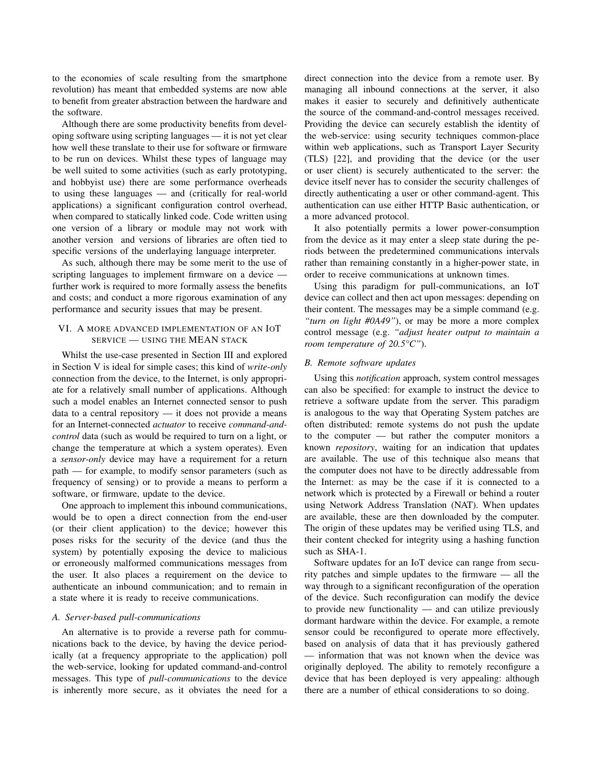to the economies of scale resulting from the smartphone revolution) has meant that embedded systems are now able to benefit from greater abstraction between the hardware and the software.

Although there are some productivity benefits from developing software using scripting languages — it is not yet clear how well these translate to their use for software or firmware to be run on devices. Whilst these types of language may be well suited to some activities (such as early prototyping, and hobbyist use) there are some performance overheads to using these languages — and (critically for real-world applications) a significant configuration control overhead, when compared to statically linked code. Code written using one version of a library or module may not work with another version and versions of libraries are often tied to specific versions of the underlaying language interpreter.

As such, although there may be some merit to the use of scripting languages to implement firmware on a device further work is required to more formally assess the benefits and costs; and conduct a more rigorous examination of any performance and security issues that may be present.

# VI. A MORE ADVANCED IMPLEMENTATION OF AN IOT SERVICE — USING THE MEAN STACK

Whilst the use-case presented in Section III and explored in Section V is ideal for simple cases; this kind of *write-only* connection from the device, to the Internet, is only appropriate for a relatively small number of applications. Although such a model enables an Internet connected sensor to push data to a central repository — it does not provide a means for an Internet-connected *actuator* to receive *command-andcontrol* data (such as would be required to turn on a light, or change the temperature at which a system operates). Even a *sensor-only* device may have a requirement for a return path — for example, to modify sensor parameters (such as frequency of sensing) or to provide a means to perform a software, or firmware, update to the device.

One approach to implement this inbound communications, would be to open a direct connection from the end-user (or their client application) to the device; however this poses risks for the security of the device (and thus the system) by potentially exposing the device to malicious or erroneously malformed communications messages from the user. It also places a requirement on the device to authenticate an inbound communication; and to remain in a state where it is ready to receive communications.

## *A. Server-based pull-communications*

An alternative is to provide a reverse path for communications back to the device, by having the device periodically (at a frequency appropriate to the application) poll the web-service, looking for updated command-and-control messages. This type of *pull-communications* to the device is inherently more secure, as it obviates the need for a direct connection into the device from a remote user. By managing all inbound connections at the server, it also makes it easier to securely and definitively authenticate the source of the command-and-control messages received. Providing the device can securely establish the identity of the web-service: using security techniques common-place within web applications, such as Transport Layer Security (TLS) [22], and providing that the device (or the user or user client) is securely authenticated to the server: the device itself never has to consider the security challenges of directly authenticating a user or other command-agent. This authentication can use either HTTP Basic authentication, or a more advanced protocol.

It also potentially permits a lower power-consumption from the device as it may enter a sleep state during the periods between the predetermined communications intervals rather than remaining constantly in a higher-power state, in order to receive communications at unknown times.

Using this paradigm for pull-communications, an IoT device can collect and then act upon messages: depending on their content. The messages may be a simple command (e.g. *"turn on light #0A49"*), or may be more a more complex control message (e.g. *"adjust heater output to maintain a room temperature of 20.5°C"*).

#### *B. Remote software updates*

Using this *notification* approach, system control messages can also be specified: for example to instruct the device to retrieve a software update from the server. This paradigm is analogous to the way that Operating System patches are often distributed: remote systems do not push the update to the computer — but rather the computer monitors a known *repository*, waiting for an indication that updates are available. The use of this technique also means that the computer does not have to be directly addressable from the Internet: as may be the case if it is connected to a network which is protected by a Firewall or behind a router using Network Address Translation (NAT). When updates are available, these are then downloaded by the computer. The origin of these updates may be verified using TLS, and their content checked for integrity using a hashing function such as SHA-1.

Software updates for an IoT device can range from security patches and simple updates to the firmware — all the way through to a significant reconfiguration of the operation of the device. Such reconfiguration can modify the device to provide new functionality — and can utilize previously dormant hardware within the device. For example, a remote sensor could be reconfigured to operate more effectively, based on analysis of data that it has previously gathered — information that was not known when the device was originally deployed. The ability to remotely reconfigure a device that has been deployed is very appealing: although there are a number of ethical considerations to so doing.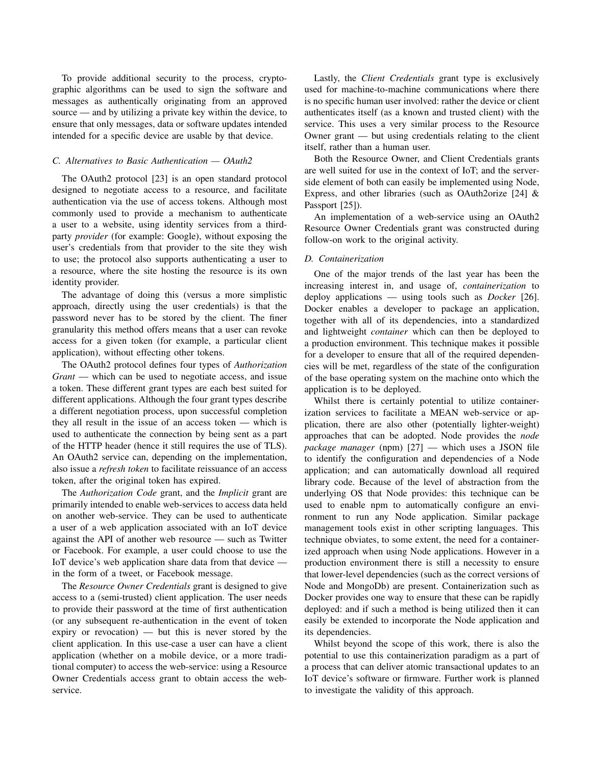To provide additional security to the process, cryptographic algorithms can be used to sign the software and messages as authentically originating from an approved source — and by utilizing a private key within the device, to ensure that only messages, data or software updates intended intended for a specific device are usable by that device.

## *C. Alternatives to Basic Authentication — OAuth2*

The OAuth2 protocol [23] is an open standard protocol designed to negotiate access to a resource, and facilitate authentication via the use of access tokens. Although most commonly used to provide a mechanism to authenticate a user to a website, using identity services from a thirdparty *provider* (for example: Google), without exposing the user's credentials from that provider to the site they wish to use; the protocol also supports authenticating a user to a resource, where the site hosting the resource is its own identity provider.

The advantage of doing this (versus a more simplistic approach, directly using the user credentials) is that the password never has to be stored by the client. The finer granularity this method offers means that a user can revoke access for a given token (for example, a particular client application), without effecting other tokens.

The OAuth2 protocol defines four types of *Authorization Grant* — which can be used to negotiate access, and issue a token. These different grant types are each best suited for different applications. Although the four grant types describe a different negotiation process, upon successful completion they all result in the issue of an access token — which is used to authenticate the connection by being sent as a part of the HTTP header (hence it still requires the use of TLS). An OAuth2 service can, depending on the implementation, also issue a *refresh token* to facilitate reissuance of an access token, after the original token has expired.

The *Authorization Code* grant, and the *Implicit* grant are primarily intended to enable web-services to access data held on another web-service. They can be used to authenticate a user of a web application associated with an IoT device against the API of another web resource — such as Twitter or Facebook. For example, a user could choose to use the IoT device's web application share data from that device in the form of a tweet, or Facebook message.

The *Resource Owner Credentials* grant is designed to give access to a (semi-trusted) client application. The user needs to provide their password at the time of first authentication (or any subsequent re-authentication in the event of token expiry or revocation) — but this is never stored by the client application. In this use-case a user can have a client application (whether on a mobile device, or a more traditional computer) to access the web-service: using a Resource Owner Credentials access grant to obtain access the webservice.

Lastly, the *Client Credentials* grant type is exclusively used for machine-to-machine communications where there is no specific human user involved: rather the device or client authenticates itself (as a known and trusted client) with the service. This uses a very similar process to the Resource Owner grant — but using credentials relating to the client itself, rather than a human user.

Both the Resource Owner, and Client Credentials grants are well suited for use in the context of IoT; and the serverside element of both can easily be implemented using Node, Express, and other libraries (such as OAuth2orize [24] & Passport [25]).

An implementation of a web-service using an OAuth2 Resource Owner Credentials grant was constructed during follow-on work to the original activity.

#### *D. Containerization*

One of the major trends of the last year has been the increasing interest in, and usage of, *containerization* to deploy applications — using tools such as *Docker* [26]. Docker enables a developer to package an application, together with all of its dependencies, into a standardized and lightweight *container* which can then be deployed to a production environment. This technique makes it possible for a developer to ensure that all of the required dependencies will be met, regardless of the state of the configuration of the base operating system on the machine onto which the application is to be deployed.

Whilst there is certainly potential to utilize containerization services to facilitate a MEAN web-service or application, there are also other (potentially lighter-weight) approaches that can be adopted. Node provides the *node package manager* (npm) [27] — which uses a JSON file to identify the configuration and dependencies of a Node application; and can automatically download all required library code. Because of the level of abstraction from the underlying OS that Node provides: this technique can be used to enable npm to automatically configure an environment to run any Node application. Similar package management tools exist in other scripting languages. This technique obviates, to some extent, the need for a containerized approach when using Node applications. However in a production environment there is still a necessity to ensure that lower-level dependencies (such as the correct versions of Node and MongoDb) are present. Containerization such as Docker provides one way to ensure that these can be rapidly deployed: and if such a method is being utilized then it can easily be extended to incorporate the Node application and its dependencies.

Whilst beyond the scope of this work, there is also the potential to use this containerization paradigm as a part of a process that can deliver atomic transactional updates to an IoT device's software or firmware. Further work is planned to investigate the validity of this approach.